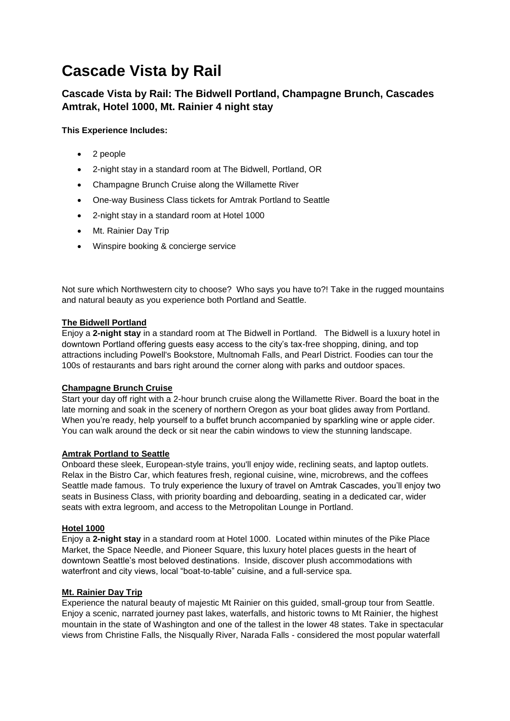# **Cascade Vista by Rail**

## **Cascade Vista by Rail: The Bidwell Portland, Champagne Brunch, Cascades Amtrak, Hotel 1000, Mt. Rainier 4 night stay**

### **This Experience Includes:**

- 2 people
- 2-night stay in a standard room at The Bidwell, Portland, OR
- Champagne Brunch Cruise along the Willamette River
- One-way Business Class tickets for Amtrak Portland to Seattle
- 2-night stay in a standard room at Hotel 1000
- Mt. Rainier Day Trip
- Winspire booking & concierge service

Not sure which Northwestern city to choose? Who says you have to?! Take in the rugged mountains and natural beauty as you experience both Portland and Seattle.

#### **The Bidwell Portland**

Enjoy a **2-night stay** in a standard room at The Bidwell in Portland. The Bidwell is a luxury hotel in downtown Portland offering guests easy access to the city's tax-free shopping, dining, and top attractions including Powell's Bookstore, Multnomah Falls, and Pearl District. Foodies can tour the 100s of restaurants and bars right around the corner along with parks and outdoor spaces.

#### **Champagne Brunch Cruise**

Start your day off right with a 2-hour brunch cruise along the Willamette River. Board the boat in the late morning and soak in the scenery of northern Oregon as your boat glides away from Portland. When you're ready, help yourself to a buffet brunch accompanied by sparkling wine or apple cider. You can walk around the deck or sit near the cabin windows to view the stunning landscape.

#### **Amtrak Portland to Seattle**

Onboard these sleek, European-style trains, you'll enjoy wide, reclining seats, and laptop outlets. Relax in the Bistro Car, which features fresh, regional cuisine, wine, microbrews, and the coffees Seattle made famous. To truly experience the luxury of travel on Amtrak Cascades, you'll enjoy two seats in Business Class, with priority boarding and deboarding, seating in a dedicated car, wider seats with extra legroom, and access to the Metropolitan Lounge in Portland.

#### **Hotel 1000**

Enjoy a **2-night stay** in a standard room at Hotel 1000. Located within minutes of the Pike Place Market, the Space Needle, and Pioneer Square, this luxury hotel places guests in the heart of downtown Seattle's most beloved destinations. Inside, discover plush accommodations with waterfront and city views, local "boat-to-table" cuisine, and a full-service spa.

#### **Mt. Rainier Day Trip**

Experience the natural beauty of majestic Mt Rainier on this guided, small-group tour from Seattle. Enjoy a scenic, narrated journey past lakes, waterfalls, and historic towns to Mt Rainier, the highest mountain in the state of Washington and one of the tallest in the lower 48 states. Take in spectacular views from Christine Falls, the Nisqually River, Narada Falls - considered the most popular waterfall